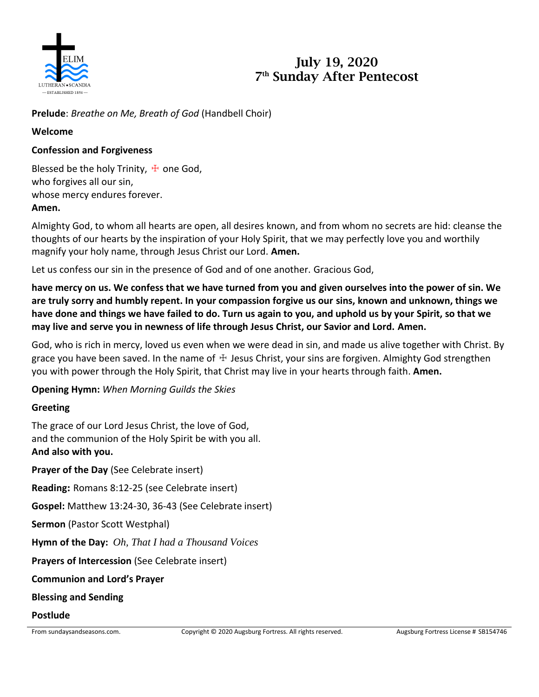

# **July 19, 2020 7 th Sunday After Pentecost**

**Prelude**: *Breathe on Me, Breath of God* (Handbell Choir)

### **Welcome**

## **Confession and Forgiveness**

Blessed be the holy Trinity,  $\pm$  one God, who forgives all our sin, whose mercy endures forever. **Amen.**

Almighty God, to whom all hearts are open, all desires known, and from whom no secrets are hid: cleanse the thoughts of our hearts by the inspiration of your Holy Spirit, that we may perfectly love you and worthily magnify your holy name, through Jesus Christ our Lord. **Amen.**

Let us confess our sin in the presence of God and of one another. Gracious God,

**have mercy on us. We confess that we have turned from you and given ourselves into the power of sin. We are truly sorry and humbly repent. In your compassion forgive us our sins, known and unknown, things we have done and things we have failed to do. Turn us again to you, and uphold us by your Spirit, so that we may live and serve you in newness of life through Jesus Christ, our Savior and Lord. Amen.**

God, who is rich in mercy, loved us even when we were dead in sin, and made us alive together with Christ. By grace you have been saved. In the name of  $\pm$  Jesus Christ, your sins are forgiven. Almighty God strengthen you with power through the Holy Spirit, that Christ may live in your hearts through faith. **Amen.**

**Opening Hymn:** *When Morning Guilds the Skies*

## **Greeting**

The grace of our Lord Jesus Christ, the love of God, and the communion of the Holy Spirit be with you all. **And also with you.**

**Prayer of the Day** (See Celebrate insert) **Reading:** Romans 8:12-25 (see Celebrate insert) **Gospel:** Matthew 13:24-30, 36-43 (See Celebrate insert) **Sermon** (Pastor Scott Westphal) **Hymn of the Day:** *Oh, That I had a Thousand Voices* **Prayers of Intercession** (See Celebrate insert) **Communion and Lord's Prayer Blessing and Sending**

#### **Postlude**